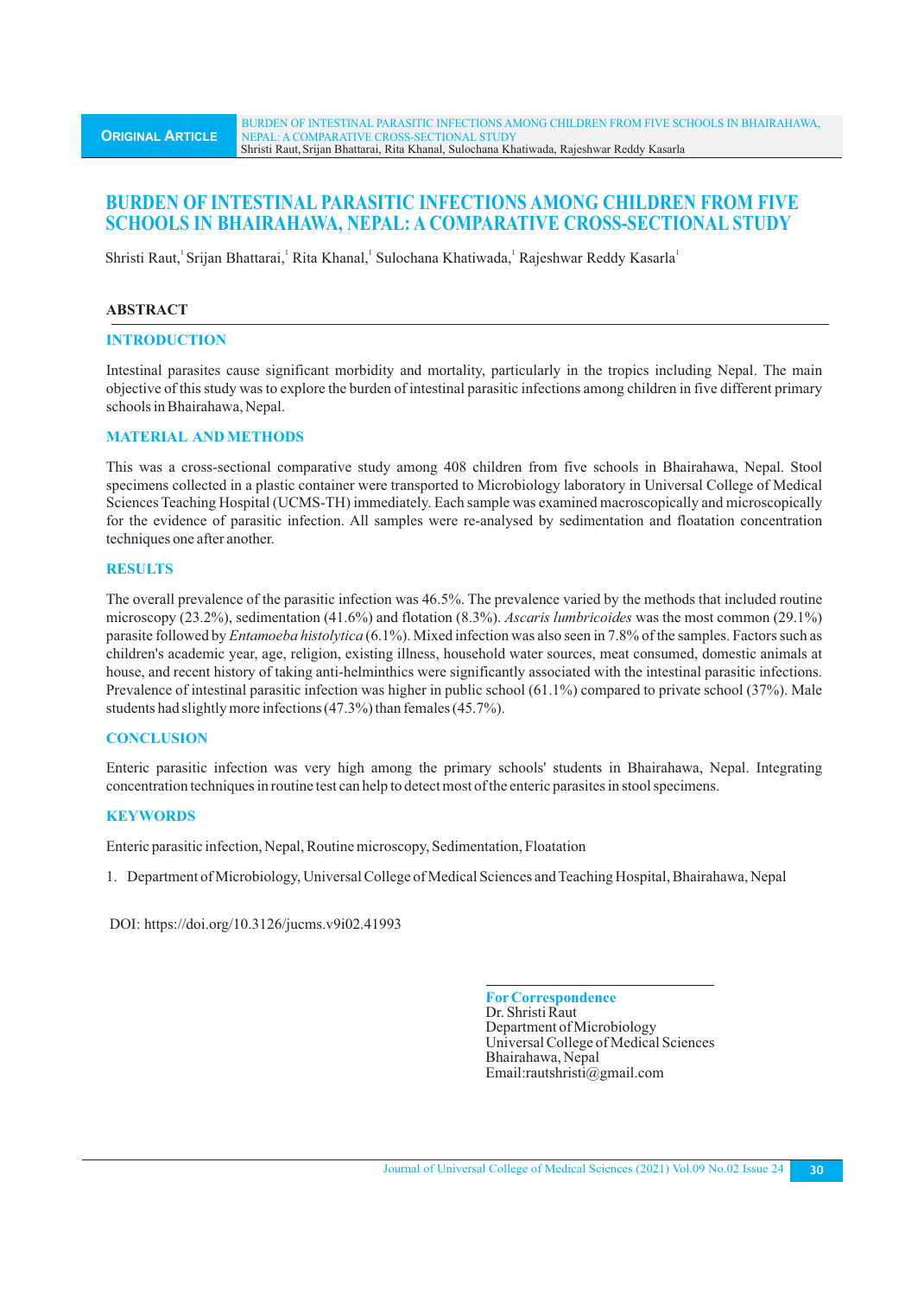# **BURDEN OF INTESTINAL PARASITIC INFECTIONS AMONG CHILDREN FROM FIVE SCHOOLS IN BHAIRAHAWA, NEPAL: A COMPARATIVE CROSS-SECTIONAL STUDY**

Shristi Raut, Srijan Bhattarai, Rita Khanal, Sulochana Khatiwada, Rajeshwar Reddy Kasarla

# **ABSTRACT**

### **INTRODUCTION**

Intestinal parasites cause significant morbidity and mortality, particularly in the tropics including Nepal. The main objective of this study was to explore the burden of intestinal parasitic infections among children in five different primary schools in Bhairahawa, Nepal.

### **MATERIAL AND METHODS**

This was a cross-sectional comparative study among 408 children from five schools in Bhairahawa, Nepal. Stool specimens collected in a plastic container were transported to Microbiology laboratory in Universal College of Medical Sciences Teaching Hospital (UCMS-TH) immediately. Each sample was examined macroscopically and microscopically for the evidence of parasitic infection. All samples were re-analysed by sedimentation and floatation concentration techniques one after another.

### **RESULTS**

The overall prevalence of the parasitic infection was 46.5%. The prevalence varied by the methods that included routine microscopy (23.2%), sedimentation (41.6%) and flotation (8.3%). *Ascaris lumbricoides* was the most common (29.1%) parasite followed by *Entamoeba histolytica* (6.1%). Mixed infection was also seen in 7.8% of the samples. Factors such as children's academic year, age, religion, existing illness, household water sources, meat consumed, domestic animals at house, and recent history of taking anti-helminthics were significantly associated with the intestinal parasitic infections. Prevalence of intestinal parasitic infection was higher in public school (61.1%) compared to private school (37%). Male students had slightly more infections (47.3%) than females (45.7%).

### **CONCLUSION**

Enteric parasitic infection was very high among the primary schools' students in Bhairahawa, Nepal. Integrating concentration techniques in routine test can help to detect most of the enteric parasites in stool specimens.

### **KEYWORDS**

Enteric parasitic infection, Nepal, Routine microscopy, Sedimentation, Floatation

1. Department of Microbiology, Universal College of Medical Sciences and Teaching Hospital, Bhairahawa, Nepal

DOI: https://doi.org/10.3126/jucms.v9i02.41993

**ForCorrespondence** Dr. Shristi Raut Department of Microbiology Universal College of Medical Sciences Bhairahawa, Nepal Email:rautshristi@gmail.com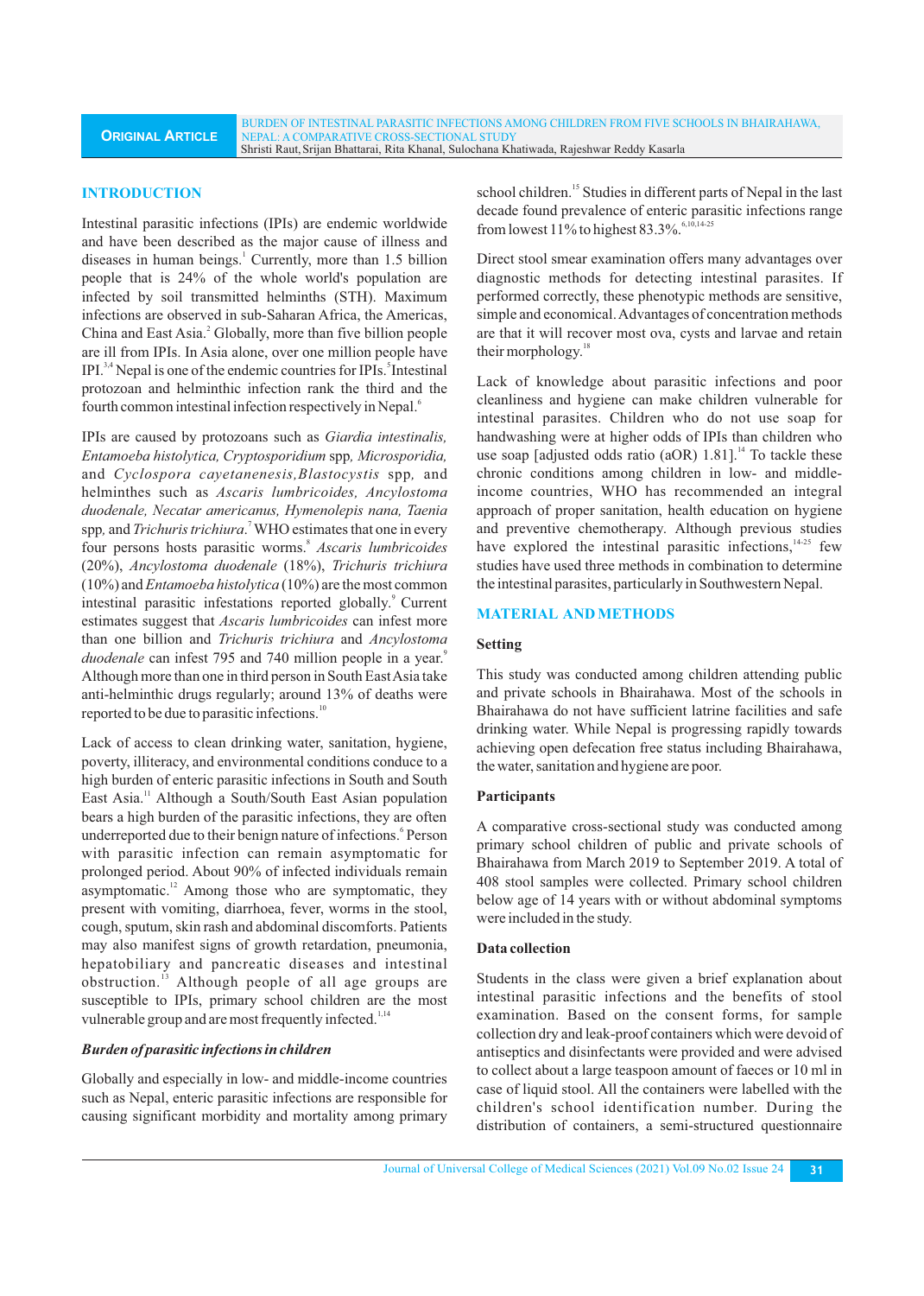BURDEN OF INTESTINAL PARASITIC INFECTIONS AMONG CHILDREN FROM FIVE SCHOOLS IN BHAIRAHAWA, NEPAL: A COMPARATIVE CROSS-SECTIONAL STUDY Shristi Raut,Srijan Bhattarai, Rita Khanal, Sulochana Khatiwada, Rajeshwar Reddy Kasarla

### **INTRODUCTION**

Intestinal parasitic infections (IPIs) are endemic worldwide and have been described as the major cause of illness and diseases in human beings.<sup>1</sup> Currently, more than 1.5 billion people that is 24% of the whole world's population are infected by soil transmitted helminths (STH). Maximum infections are observed in sub-Saharan Africa, the Americas, China and East Asia.<sup>2</sup> Globally, more than five billion people are ill from IPIs. In Asia alone, over one million people have IPI. $3,4$  Nepal is one of the endemic countries for IPIs. Intestinal protozoan and helminthic infection rank the third and the fourth common intestinal infection respectively in Nepal.<sup>6</sup>

IPIs are caused by protozoans such as *Giardia intestinalis, Entamoeba histolytica, Cryptosporidium* spp*, Microsporidia,* and *Cyclospora cayetanenesis,Blastocystis* spp*,* and helminthes such as *Ascaris lumbricoides, Ancylostoma duodenale, Necatar americanus, Hymenolepis nana, Taenia*  7 spp*,* and*Trichuris trichiura*. WHO estimates that one in every four persons hosts parasitic worms.<sup>8</sup> Ascaris lumbricoides (20%), *Ancylostoma duodenale* (18%), *Trichuris trichiura* (10%) and *Entamoeba histolytica* (10%) are the most common intestinal parasitic infestations reported globally.<sup>9</sup> Current estimates suggest that *Ascaris lumbricoides* can infest more than one billion and *Trichuris trichiura* and *Ancylostoma*  <sup>9</sup>*duodenale* can infest 795 and 740 million people in a year. Although more than one in third person in South East Asia take anti-helminthic drugs regularly; around 13% of deaths were reported to be due to parasitic infections.<sup>10</sup>

Lack of access to clean drinking water, sanitation, hygiene, poverty, illiteracy, and environmental conditions conduce to a high burden of enteric parasitic infections in South and South East Asia.<sup>11</sup> Although a South/South East Asian population bears a high burden of the parasitic infections, they are often underreported due to their benign nature of infections.<sup>6</sup> Person with parasitic infection can remain asymptomatic for prolonged period. About 90% of infected individuals remain asymptomatic. $12$  Among those who are symptomatic, they present with vomiting, diarrhoea, fever, worms in the stool, cough, sputum, skin rash and abdominal discomforts. Patients may also manifest signs of growth retardation, pneumonia, hepatobiliary and pancreatic diseases and intestinal obstruction.<sup>13</sup> Although people of all age groups are susceptible to IPIs, primary school children are the most vulnerable group and are most frequently infected.<sup>1,14</sup>

#### *Burden of parasitic infections in children*

Globally and especially in low- and middle-income countries such as Nepal, enteric parasitic infections are responsible for causing significant morbidity and mortality among primary school children.<sup>15</sup> Studies in different parts of Nepal in the last decade found prevalence of enteric parasitic infections range from lowest 11% to highest 83.3%.  $6,10,14-25$ 

Direct stool smear examination offers many advantages over diagnostic methods for detecting intestinal parasites. If performed correctly, these phenotypic methods are sensitive, simple and economical. Advantages of concentration methods are that it will recover most ova, cysts and larvae and retain their morphology.<sup>18</sup>

Lack of knowledge about parasitic infections and poor cleanliness and hygiene can make children vulnerable for intestinal parasites. Children who do not use soap for handwashing were at higher odds of IPIs than children who use soap [adjusted odds ratio (aOR) 1.81].<sup>14</sup> To tackle these chronic conditions among children in low- and middleincome countries, WHO has recommended an integral approach of proper sanitation, health education on hygiene and preventive chemotherapy. Although previous studies have explored the intestinal parasitic infections,  $14-25$  few studies have used three methods in combination to determine the intestinal parasites, particularly in Southwestern Nepal.

#### **MATERIAL AND METHODS**

#### **Setting**

This study was conducted among children attending public and private schools in Bhairahawa. Most of the schools in Bhairahawa do not have sufficient latrine facilities and safe drinking water. While Nepal is progressing rapidly towards achieving open defecation free status including Bhairahawa, the water, sanitation and hygiene are poor.

#### **Participants**

A comparative cross-sectional study was conducted among primary school children of public and private schools of Bhairahawa from March 2019 to September 2019. A total of 408 stool samples were collected. Primary school children below age of 14 years with or without abdominal symptoms were included in the study.

#### **Data collection**

Students in the class were given a brief explanation about intestinal parasitic infections and the benefits of stool examination. Based on the consent forms, for sample collection dry and leak-proof containers which were devoid of antiseptics and disinfectants were provided and were advised to collect about a large teaspoon amount of faeces or 10 ml in case of liquid stool. All the containers were labelled with the children's school identification number. During the distribution of containers, a semi-structured questionnaire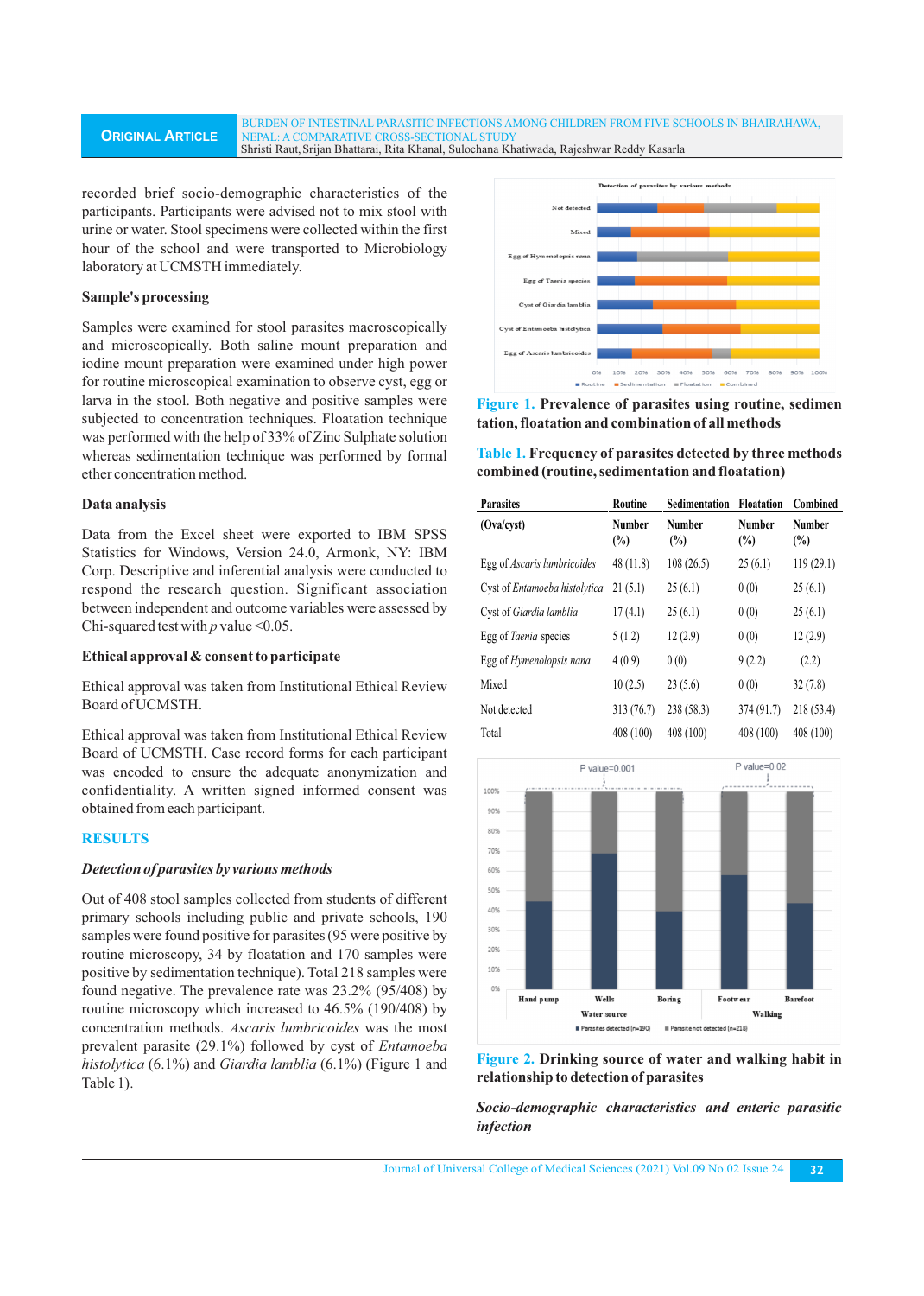#### **ORIGINAL ARTICLE** BURDEN OF INTESTINAL PARASITIC INFECTIONS AMONG CHILDREN FROM FIVE SCHOOLS IN BHAIRAHAWA, NEPAL: A COMPARATIVE CROSS-SECTIONAL STUDY Shristi Raut,Srijan Bhattarai, Rita Khanal, Sulochana Khatiwada, Rajeshwar Reddy Kasarla

recorded brief socio-demographic characteristics of the participants. Participants were advised not to mix stool with urine or water. Stool specimens were collected within the first hour of the school and were transported to Microbiology laboratory at UCMSTH immediately.

### **Sample's processing**

Samples were examined for stool parasites macroscopically and microscopically. Both saline mount preparation and iodine mount preparation were examined under high power for routine microscopical examination to observe cyst, egg or larva in the stool. Both negative and positive samples were subjected to concentration techniques. Floatation technique was performed with the help of 33% of Zinc Sulphate solution whereas sedimentation technique was performed by formal ether concentration method.

#### **Data analysis**

Data from the Excel sheet were exported to IBM SPSS Statistics for Windows, Version 24.0, Armonk, NY: IBM Corp. Descriptive and inferential analysis were conducted to respond the research question. Significant association between independent and outcome variables were assessed by Chi-squared test with  $p$  value <0.05.

### **Ethical approval & consent to participate**

Ethical approval was taken from Institutional Ethical Review Board of UCMSTH.

Ethical approval was taken from Institutional Ethical Review Board of UCMSTH. Case record forms for each participant was encoded to ensure the adequate anonymization and confidentiality. A written signed informed consent was obtained from each participant.

# **RESULTS**

#### *Detection of parasites by various methods*

Out of 408 stool samples collected from students of different primary schools including public and private schools, 190 samples were found positive for parasites (95 were positive by routine microscopy, 34 by floatation and 170 samples were positive by sedimentation technique). Total 218 samples were found negative. The prevalence rate was 23.2% (95/408) by routine microscopy which increased to 46.5% (190/408) by concentration methods. *Ascaris lumbricoides* was the most prevalent parasite (29.1%) followed by cyst of *Entamoeba histolytica* (6.1%) and *Giardia lamblia* (6.1%) (Figure 1 and Table 1).



**Figure 1. Prevalence of parasites using routine, sedimen tation, floatation and combination of all methods** 

**Table 1. Frequency of parasites detected by three methods combined (routine, sedimentation and floatation)**

| <b>Parasites</b>                | Routine                        | <b>Sedimentation</b> | <b>Floatation</b>              | Combined                |
|---------------------------------|--------------------------------|----------------------|--------------------------------|-------------------------|
| (Ova/cyst)                      | <b>Number</b><br>$\frac{0}{0}$ | Number<br>(%)        | <b>Number</b><br>$\frac{0}{0}$ | Number<br>$\frac{0}{0}$ |
| Egg of Ascaris lumbricoides     | 48(11.8)                       | 108(26.5)            | 25(6.1)                        | 119(29.1)               |
| Cyst of Entamoeba histolytica   | 21(5.1)                        | 25(6.1)              | 0(0)                           | 25(6.1)                 |
| Cyst of Giardia lamblia         | 17(4.1)                        | 25(6.1)              | 0(0)                           | 25(6.1)                 |
| Egg of Taenia species           | 5(1.2)                         | 12(2.9)              | 0(0)                           | 12(2.9)                 |
| Egg of <i>Hymenolopsis nana</i> | 4(0.9)                         | 0(0)                 | 9(2.2)                         | (2.2)                   |
| Mixed                           | 10(2.5)                        | 23(5.6)              | 0(0)                           | 32(7.8)                 |
| Not detected                    | 313 (76.7)                     | 238(58.3)            | 374 (91.7)                     | 218 (53.4)              |
| Total                           | 408 (100)                      | 408 (100)            | 408 (100)                      | 408 (100)               |





*Socio-demographic characteristics and enteric parasitic infection*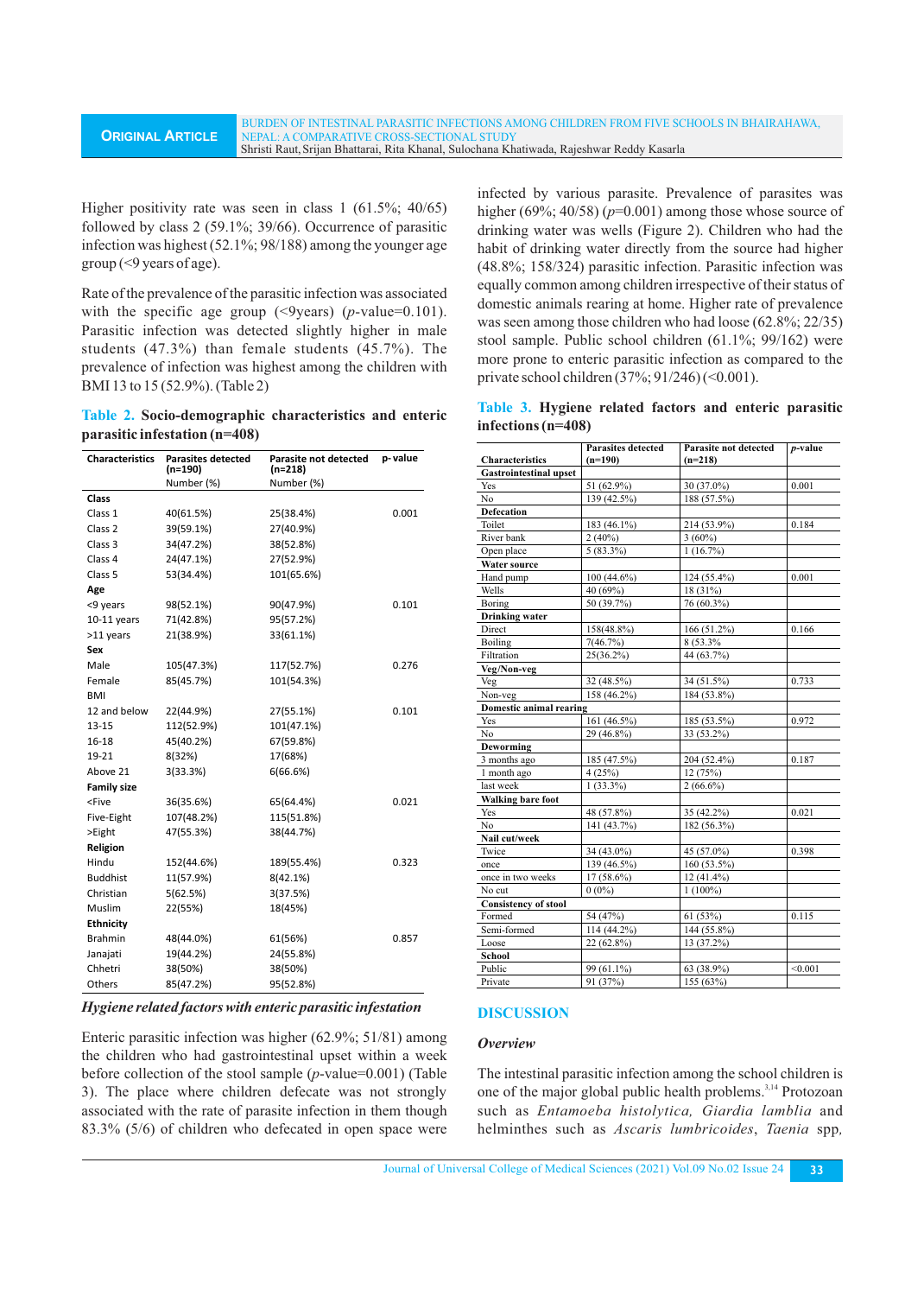Higher positivity rate was seen in class 1 (61.5%; 40/65) followed by class 2 (59.1%; 39/66). Occurrence of parasitic infection was highest (52.1%; 98/188) among the younger age  $group (<9)$  years of age).

Rate of the prevalence of the parasitic infection was associated with the specific age group (<9years) (*p*-value=0.101). Parasitic infection was detected slightly higher in male students (47.3%) than female students (45.7%). The prevalence of infection was highest among the children with BMI 13 to 15 (52.9%). (Table 2)

**Table 2. Socio-demographic characteristics and enteric parasitic infestation (n=408)**

| <b>Characteristics</b>                                                  | <b>Parasites detected</b><br>(n=190) | Parasite not detected<br>$(n=218)$ | p-value |
|-------------------------------------------------------------------------|--------------------------------------|------------------------------------|---------|
|                                                                         | Number (%)                           | Number (%)                         |         |
| <b>Class</b>                                                            |                                      |                                    |         |
| Class 1                                                                 | 40(61.5%)                            | 25(38.4%)                          | 0.001   |
| Class <sub>2</sub>                                                      | 39(59.1%)                            | 27(40.9%)                          |         |
| Class 3                                                                 | 34(47.2%)                            | 38(52.8%)                          |         |
| Class 4                                                                 | 24(47.1%)                            | 27(52.9%)                          |         |
| Class 5                                                                 | 53(34.4%)                            | 101(65.6%)                         |         |
| Age                                                                     |                                      |                                    |         |
| <9 years                                                                | 98(52.1%)                            | 90(47.9%)                          | 0.101   |
| $10-11$ years                                                           | 71(42.8%)                            | 95(57.2%)                          |         |
| >11 years                                                               | 21(38.9%)                            | 33(61.1%)                          |         |
| Sex                                                                     |                                      |                                    |         |
| Male                                                                    | 105(47.3%)                           | 117(52.7%)                         | 0.276   |
| Female                                                                  | 85(45.7%)                            | 101(54.3%)                         |         |
| <b>BMI</b>                                                              |                                      |                                    |         |
| 12 and below                                                            | 22(44.9%)                            | 27(55.1%)                          | 0.101   |
| $13 - 15$                                                               | 112(52.9%)                           | 101(47.1%)                         |         |
| 16-18                                                                   | 45(40.2%)                            | 67(59.8%)                          |         |
| 19-21                                                                   | 8(32%)                               | 17(68%)                            |         |
| Above 21                                                                | 3(33.3%)                             | 6(66.6%)                           |         |
| <b>Family size</b>                                                      |                                      |                                    |         |
| <five< td=""><td>36(35.6%)</td><td>65(64.4%)</td><td>0.021</td></five<> | 36(35.6%)                            | 65(64.4%)                          | 0.021   |
| Five-Eight                                                              | 107(48.2%)                           | 115(51.8%)                         |         |
| >Eight                                                                  | 47(55.3%)                            | 38(44.7%)                          |         |
| Religion                                                                |                                      |                                    |         |
| Hindu                                                                   | 152(44.6%)                           | 189(55.4%)                         | 0.323   |
| <b>Buddhist</b>                                                         | 11(57.9%)                            | 8(42.1%)                           |         |
| Christian                                                               | 5(62.5%)                             | 3(37.5%)                           |         |
| Muslim                                                                  | 22(55%)                              | 18(45%)                            |         |
| <b>Ethnicity</b>                                                        |                                      |                                    |         |
| <b>Brahmin</b>                                                          | 48(44.0%)                            | 61(56%)                            | 0.857   |
| Janajati                                                                | 19(44.2%)                            | 24(55.8%)                          |         |
| Chhetri                                                                 | 38(50%)                              | 38(50%)                            |         |
| Others                                                                  | 85(47.2%)                            | 95(52.8%)                          |         |

#### *Hygiene related factors with enteric parasitic infestation*

Enteric parasitic infection was higher (62.9%; 51/81) among the children who had gastrointestinal upset within a week before collection of the stool sample (*p*-value=0.001) (Table 3). The place where children defecate was not strongly associated with the rate of parasite infection in them though 83.3% (5/6) of children who defecated in open space were

infected by various parasite. Prevalence of parasites was higher (69%; 40/58) (*p*=0.001) among those whose source of drinking water was wells (Figure 2). Children who had the habit of drinking water directly from the source had higher (48.8%; 158/324) parasitic infection. Parasitic infection was equally common among children irrespective of their status of domestic animals rearing at home. Higher rate of prevalence was seen among those children who had loose (62.8%; 22/35) stool sample. Public school children (61.1%; 99/162) were more prone to enteric parasitic infection as compared to the private school children (37%; 91/246) (<0.001).

**Table 3. Hygiene related factors and enteric parasitic infections (n=408)**

| <b>Characteristics</b>        | <b>Parasites detected</b><br>$(n=190)$ | Parasite not detected<br>$(n=218)$ | $p$ -value |
|-------------------------------|----------------------------------------|------------------------------------|------------|
| <b>Gastrointestinal upset</b> |                                        |                                    |            |
| Yes                           | 51 (62.9%)                             | 30 (37.0%)                         | 0.001      |
| No                            | 139 (42.5%)                            | 188 (57.5%)                        |            |
| <b>Defecation</b>             |                                        |                                    |            |
| Toilet                        | 183 (46.1%)                            | 214 (53.9%)                        | 0.184      |
| River bank                    | $2(40\%)$                              | $3(60\%)$                          |            |
| Open place                    | $5(83.3\%)$                            | 1(16.7%)                           |            |
| <b>Water source</b>           |                                        |                                    |            |
| Hand pump                     | $100(44.6\%)$                          | 124 (55.4%)                        | 0.001      |
| Wells                         | 40 (69%)                               | 18 (31%)                           |            |
| Boring                        | 50 (39.7%)                             | 76 (60.3%)                         |            |
| <b>Drinking</b> water         |                                        |                                    |            |
| Direct                        | 158(48.8%)                             | 166 (51.2%)                        | 0.166      |
| Boiling                       | 7(46.7%)                               | 8 (53.3%                           |            |
| Filtration                    | 25(36.2%)                              | 44 (63.7%)                         |            |
| Veg/Non-veg                   |                                        |                                    |            |
| Veg                           | 32 (48.5%)                             | 34 (51.5%)                         | 0.733      |
| Non-veg                       | 158 (46.2%)                            | 184 (53.8%)                        |            |
| Domestic animal rearing       |                                        |                                    |            |
| Yes                           | 161 (46.5%)                            | 185 (53.5%)                        | 0.972      |
| No                            | 29 (46.8%)                             | 33 (53.2%)                         |            |
| Deworming                     |                                        |                                    |            |
| 3 months ago                  | 185 (47.5%)                            | 204 (52.4%)                        | 0.187      |
| 1 month ago                   | 4(25%)                                 | 12(75%)                            |            |
| last week                     | $1(33.3\%)$                            | $2(66.6\%)$                        |            |
| <b>Walking bare foot</b>      |                                        |                                    |            |
| Yes                           | 48 (57.8%)                             | 35 (42.2%)                         | 0.021      |
| No                            | 141 (43.7%)                            | 182 (56.3%)                        |            |
| Nail cut/week                 |                                        |                                    |            |
| Twice                         | 34 (43.0%)                             | 45 (57.0%)                         | 0.398      |
| once                          | 139 (46.5%)                            | 160 (53.5%)                        |            |
| once in two weeks             | $17(58.6\%)$                           | $12(41.4\%)$                       |            |
| No cut                        | $0(0\%)$                               | $1(100\%)$                         |            |
| <b>Consistency of stool</b>   |                                        |                                    |            |
| Formed                        | 54 (47%)                               | 61 (53%)                           | 0.115      |
| Semi-formed                   | 114 (44.2%)                            | 144 (55.8%)                        |            |
| Loose                         | 22 (62.8%)                             | 13 (37.2%)                         |            |
| School                        |                                        |                                    |            |
| Public                        | 99 (61.1%)                             | 63 (38.9%)                         | < 0.001    |
| Private                       | 91 (37%)                               | 155 (63%)                          |            |

#### **DISCUSSION**

#### *Overview*

The intestinal parasitic infection among the school children is one of the major global public health problems.<sup>3,14</sup> Protozoan such as *Entamoeba histolytica, Giardia lamblia* and helminthes such as *Ascaris lumbricoides*, *Taenia* spp*,*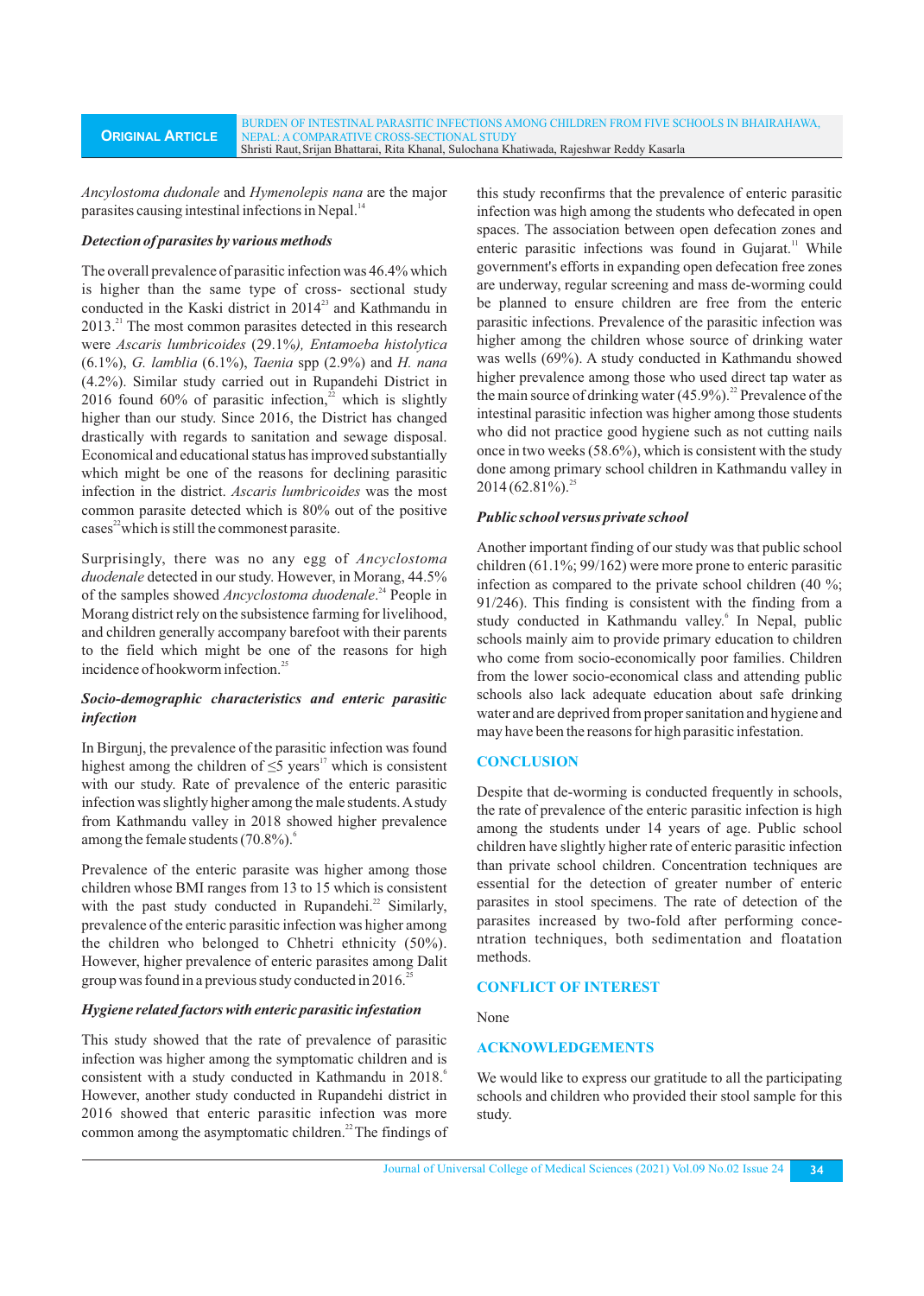*Ancylostoma dudonale* and *Hymenolepis nana* are the major parasites causing intestinal infections in Nepal.<sup>14</sup>

### *Detection of parasites by various methods*

The overall prevalence of parasitic infection was 46.4% which is higher than the same type of cross- sectional study conducted in the Kaski district in 2014<sup>23</sup> and Kathmandu in 2013.<sup>21</sup> The most common parasites detected in this research were *Ascaris lumbricoides* (29.1%*), Entamoeba histolytica* (6.1%), *G. lamblia* (6.1%), *Taenia* spp (2.9%) and *H. nana* (4.2%). Similar study carried out in Rupandehi District in 2016 found 60% of parasitic infection, $2$  which is slightly higher than our study. Since 2016, the District has changed drastically with regards to sanitation and sewage disposal. Economical and educational status has improved substantially which might be one of the reasons for declining parasitic infection in the district. *Ascaris lumbricoides* was the most common parasite detected which is 80% out of the positive cases<sup>22</sup> which is still the commonest parasite.

Surprisingly, there was no any egg of *Ancyclostoma duodenale* detected in our study. However, in Morang, 44.5% of the samples showed *Ancyclostoma duodenale*.<sup>24</sup> People in Morang district rely on the subsistence farming for livelihood, and children generally accompany barefoot with their parents to the field which might be one of the reasons for high incidence of hookworm infection.<sup>25</sup>

# *Socio-demographic characteristics and enteric parasitic infection*

In Birgunj, the prevalence of the parasitic infection was found highest among the children of  $\leq$ 5 years<sup>17</sup> which is consistent with our study. Rate of prevalence of the enteric parasitic infection was slightly higher among the male students. Astudy from Kathmandu valley in 2018 showed higher prevalence among the female students (70.8%).<sup>6</sup>

Prevalence of the enteric parasite was higher among those children whose BMI ranges from 13 to 15 which is consistent with the past study conducted in Rupandehi. $^{22}$  Similarly, prevalence of the enteric parasitic infection was higher among the children who belonged to Chhetri ethnicity (50%). However, higher prevalence of enteric parasites among Dalit group was found in a previous study conducted in 2016.<sup>25</sup>

# *Hygiene related factors with enteric parasitic infestation*

This study showed that the rate of prevalence of parasitic infection was higher among the symptomatic children and is consistent with a study conducted in Kathmandu in 2018. However, another study conducted in Rupandehi district in 2016 showed that enteric parasitic infection was more common among the asymptomatic children.<sup>22</sup> The findings of this study reconfirms that the prevalence of enteric parasitic infection was high among the students who defecated in open spaces. The association between open defecation zones and enteric parasitic infections was found in Gujarat.<sup>11</sup> While government's efforts in expanding open defecation free zones are underway, regular screening and mass de-worming could be planned to ensure children are free from the enteric parasitic infections. Prevalence of the parasitic infection was higher among the children whose source of drinking water was wells (69%). A study conducted in Kathmandu showed higher prevalence among those who used direct tap water as the main source of drinking water  $(45.9\%)$ .<sup>22</sup> Prevalence of the intestinal parasitic infection was higher among those students who did not practice good hygiene such as not cutting nails once in two weeks (58.6%), which is consistent with the study done among primary school children in Kathmandu valley in  $2014 (62.81\%)$ <sup>25</sup>

# *Public school versus private school*

Another important finding of our study was that public school children (61.1%; 99/162) were more prone to enteric parasitic infection as compared to the private school children (40 %; 91/246). This finding is consistent with the finding from a study conducted in Kathmandu valley.<sup>6</sup> In Nepal, public schools mainly aim to provide primary education to children who come from socio-economically poor families. Children from the lower socio-economical class and attending public schools also lack adequate education about safe drinking water and are deprived from proper sanitation and hygiene and may have been the reasons for high parasitic infestation.

# **CONCLUSION**

Despite that de-worming is conducted frequently in schools, the rate of prevalence of the enteric parasitic infection is high among the students under 14 years of age. Public school children have slightly higher rate of enteric parasitic infection than private school children. Concentration techniques are essential for the detection of greater number of enteric parasites in stool specimens. The rate of detection of the parasites increased by two-fold after performing concentration techniques, both sedimentation and floatation methods.

### **CONFLICT OF INTEREST**

### None

# **ACKNOWLEDGEMENTS**

We would like to express our gratitude to all the participating schools and children who provided their stool sample for this study.